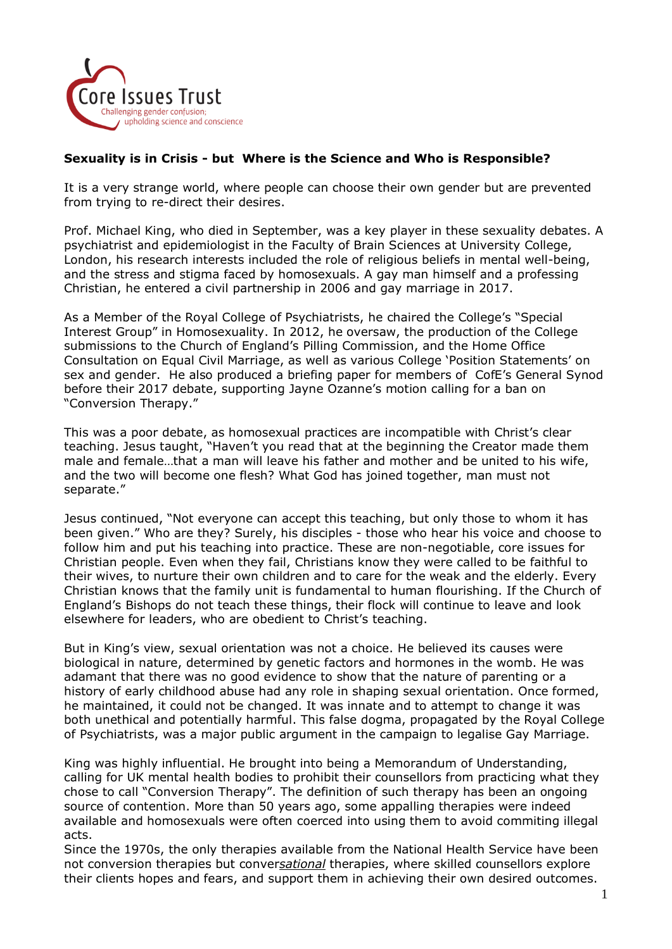

## **Sexuality is in Crisis - but Where is the Science and Who is Responsible?**

It is a very strange world, where people can choose their own gender but are prevented from trying to re-direct their desires.

Prof. Michael King, who died in September, was a key player in these sexuality debates. A psychiatrist and epidemiologist in the Faculty of Brain Sciences at University College, London, his research interests included the role of religious beliefs in mental well-being, and the stress and stigma faced by homosexuals. A gay man himself and a professing Christian, he entered a civil partnership in 2006 and gay marriage in 2017.

As a Member of the Royal College of Psychiatrists, he chaired the College's "Special Interest Group" in Homosexuality. In 2012, he oversaw, the production of the College submissions to the Church of England's Pilling Commission, and the Home Office Consultation on Equal Civil Marriage, as well as various College 'Position Statements' on sex and gender. He also produced a briefing paper for members of CofE's General Synod before their 2017 debate, supporting Jayne Ozanne's motion calling for a ban on "Conversion Therapy."

This was a poor debate, as homosexual practices are incompatible with Christ's clear teaching. Jesus taught, "Haven't you read that at the beginning the Creator made them male and female…that a man will leave his father and mother and be united to his wife, and the two will become one flesh? What God has joined together, man must not separate."

Jesus continued, "Not everyone can accept this teaching, but only those to whom it has been given." Who are they? Surely, his disciples - those who hear his voice and choose to follow him and put his teaching into practice. These are non-negotiable, core issues for Christian people. Even when they fail, Christians know they were called to be faithful to their wives, to nurture their own children and to care for the weak and the elderly. Every Christian knows that the family unit is fundamental to human flourishing. If the Church of England's Bishops do not teach these things, their flock will continue to leave and look elsewhere for leaders, who are obedient to Christ's teaching.

But in King's view, sexual orientation was not a choice. He believed its causes were biological in nature, determined by genetic factors and hormones in the womb. He was adamant that there was no good evidence to show that the nature of parenting or a history of early childhood abuse had any role in shaping sexual orientation. Once formed, he maintained, it could not be changed. It was innate and to attempt to change it was both unethical and potentially harmful. This false dogma, propagated by the Royal College of Psychiatrists, was a major public argument in the campaign to legalise Gay Marriage.

King was highly influential. He brought into being a Memorandum of Understanding, calling for UK mental health bodies to prohibit their counsellors from practicing what they chose to call "Conversion Therapy". The definition of such therapy has been an ongoing source of contention. More than 50 years ago, some appalling therapies were indeed available and homosexuals were often coerced into using them to avoid commiting illegal acts.

Since the 1970s, the only therapies available from the National Health Service have been not conversion therapies but conver*sational* therapies, where skilled counsellors explore their clients hopes and fears, and support them in achieving their own desired outcomes.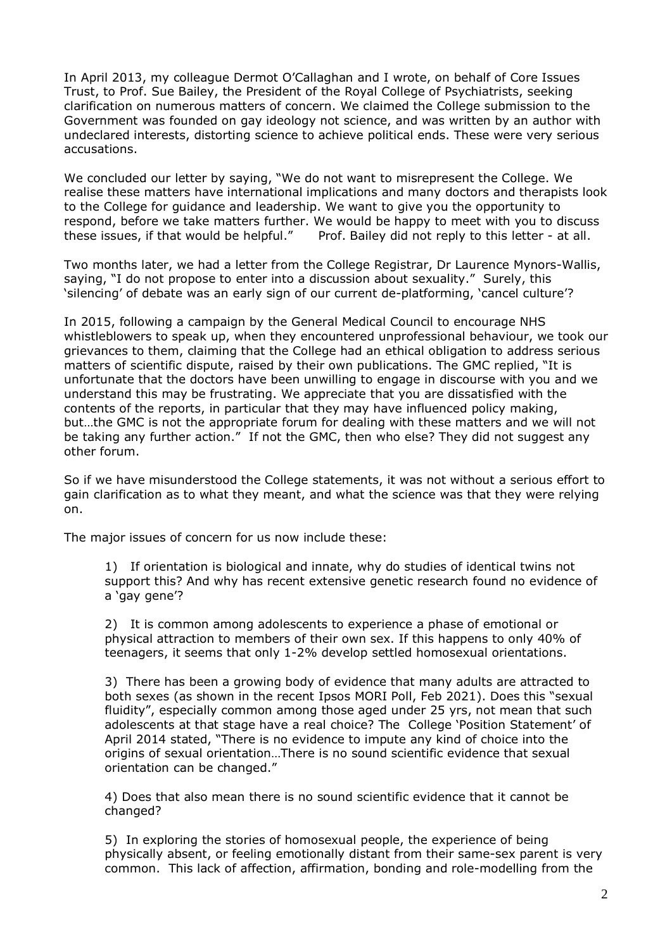In April 2013, my colleague Dermot O'Callaghan and I wrote, on behalf of Core Issues Trust, to Prof. Sue Bailey, the President of the Royal College of Psychiatrists, seeking clarification on numerous matters of concern. We claimed the College submission to the Government was founded on gay ideology not science, and was written by an author with undeclared interests, distorting science to achieve political ends. These were very serious accusations.

We concluded our letter by saying, "We do not want to misrepresent the College. We realise these matters have international implications and many doctors and therapists look to the College for guidance and leadership. We want to give you the opportunity to respond, before we take matters further. We would be happy to meet with you to discuss these issues, if that would be helpful." Prof. Bailey did not reply to this letter - at all.

Two months later, we had a letter from the College Registrar, Dr Laurence Mynors-Wallis, saying, "I do not propose to enter into a discussion about sexuality." Surely, this 'silencing' of debate was an early sign of our current de-platforming, 'cancel culture'?

In 2015, following a campaign by the General Medical Council to encourage NHS whistleblowers to speak up, when they encountered unprofessional behaviour, we took our grievances to them, claiming that the College had an ethical obligation to address serious matters of scientific dispute, raised by their own publications. The GMC replied, "It is unfortunate that the doctors have been unwilling to engage in discourse with you and we understand this may be frustrating. We appreciate that you are dissatisfied with the contents of the reports, in particular that they may have influenced policy making, but…the GMC is not the appropriate forum for dealing with these matters and we will not be taking any further action." If not the GMC, then who else? They did not suggest any other forum.

So if we have misunderstood the College statements, it was not without a serious effort to gain clarification as to what they meant, and what the science was that they were relying on.

The major issues of concern for us now include these:

1) If orientation is biological and innate, why do studies of identical twins not support this? And why has recent extensive genetic research found no evidence of a 'gay gene'?

2) It is common among adolescents to experience a phase of emotional or physical attraction to members of their own sex. If this happens to only 40% of teenagers, it seems that only 1-2% develop settled homosexual orientations.

3) There has been a growing body of evidence that many adults are attracted to both sexes (as shown in the recent Ipsos MORI Poll, Feb 2021). Does this "sexual fluidity", especially common among those aged under 25 yrs, not mean that such adolescents at that stage have a real choice? The College 'Position Statement' of April 2014 stated, "There is no evidence to impute any kind of choice into the origins of sexual orientation…There is no sound scientific evidence that sexual orientation can be changed."

4) Does that also mean there is no sound scientific evidence that it cannot be changed?

5) In exploring the stories of homosexual people, the experience of being physically absent, or feeling emotionally distant from their same-sex parent is very common. This lack of affection, affirmation, bonding and role-modelling from the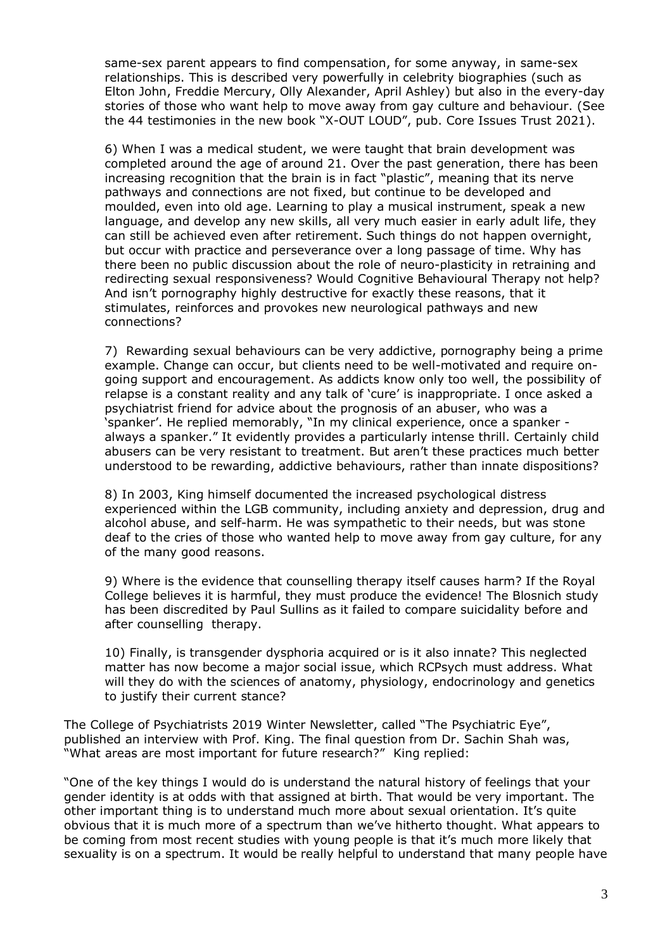same-sex parent appears to find compensation, for some anyway, in same-sex relationships. This is described very powerfully in celebrity biographies (such as Elton John, Freddie Mercury, Olly Alexander, April Ashley) but also in the every-day stories of those who want help to move away from gay culture and behaviour. (See the 44 testimonies in the new book "X-OUT LOUD", pub. Core Issues Trust 2021).

6) When I was a medical student, we were taught that brain development was completed around the age of around 21. Over the past generation, there has been increasing recognition that the brain is in fact "plastic", meaning that its nerve pathways and connections are not fixed, but continue to be developed and moulded, even into old age. Learning to play a musical instrument, speak a new language, and develop any new skills, all very much easier in early adult life, they can still be achieved even after retirement. Such things do not happen overnight, but occur with practice and perseverance over a long passage of time. Why has there been no public discussion about the role of neuro-plasticity in retraining and redirecting sexual responsiveness? Would Cognitive Behavioural Therapy not help? And isn't pornography highly destructive for exactly these reasons, that it stimulates, reinforces and provokes new neurological pathways and new connections?

7) Rewarding sexual behaviours can be very addictive, pornography being a prime example. Change can occur, but clients need to be well-motivated and require ongoing support and encouragement. As addicts know only too well, the possibility of relapse is a constant reality and any talk of 'cure' is inappropriate. I once asked a psychiatrist friend for advice about the prognosis of an abuser, who was a 'spanker'. He replied memorably, "In my clinical experience, once a spanker always a spanker." It evidently provides a particularly intense thrill. Certainly child abusers can be very resistant to treatment. But aren't these practices much better understood to be rewarding, addictive behaviours, rather than innate dispositions?

8) In 2003, King himself documented the increased psychological distress experienced within the LGB community, including anxiety and depression, drug and alcohol abuse, and self-harm. He was sympathetic to their needs, but was stone deaf to the cries of those who wanted help to move away from gay culture, for any of the many good reasons.

9) Where is the evidence that counselling therapy itself causes harm? If the Royal College believes it is harmful, they must produce the evidence! The Blosnich study has been discredited by Paul Sullins as it failed to compare suicidality before and after counselling therapy.

10) Finally, is transgender dysphoria acquired or is it also innate? This neglected matter has now become a major social issue, which RCPsych must address. What will they do with the sciences of anatomy, physiology, endocrinology and genetics to justify their current stance?

The College of Psychiatrists 2019 Winter Newsletter, called "The Psychiatric Eye", published an interview with Prof. King. The final question from Dr. Sachin Shah was, "What areas are most important for future research?" King replied:

"One of the key things I would do is understand the natural history of feelings that your gender identity is at odds with that assigned at birth. That would be very important. The other important thing is to understand much more about sexual orientation. It's quite obvious that it is much more of a spectrum than we've hitherto thought. What appears to be coming from most recent studies with young people is that it's much more likely that sexuality is on a spectrum. It would be really helpful to understand that many people have